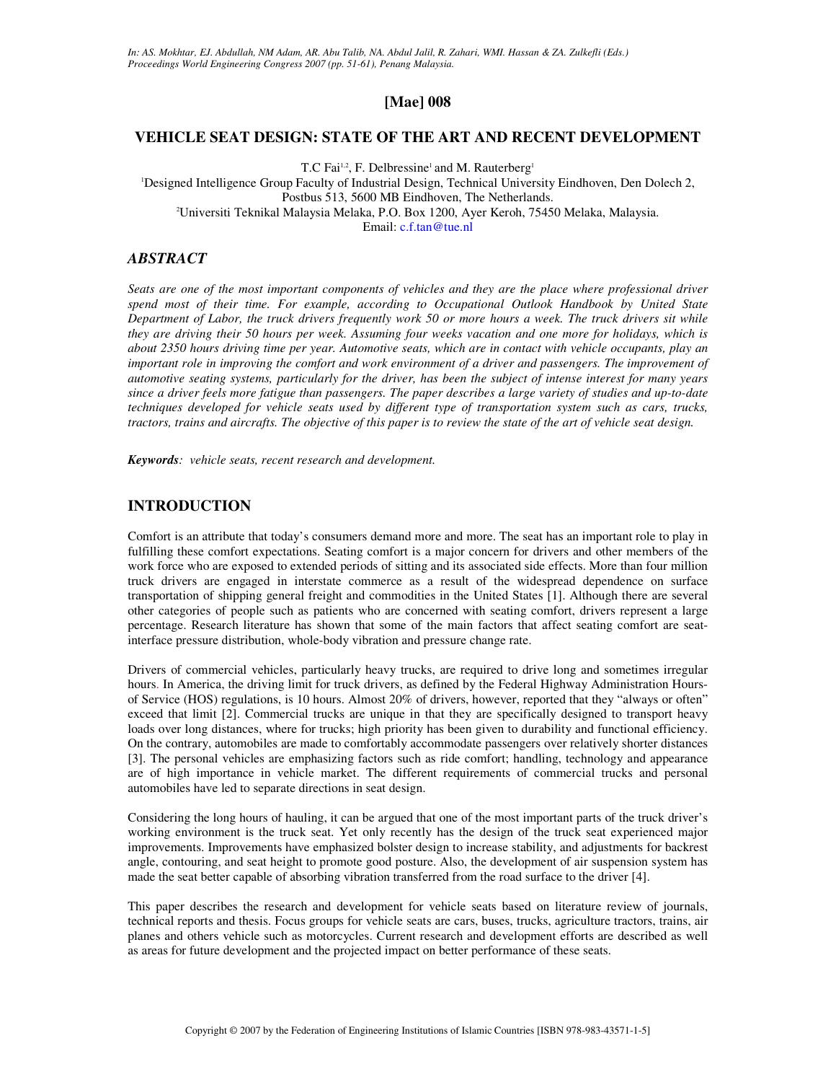# **[Mae] 008**

### **VEHICLE SEAT DESIGN: STATE OF THE ART AND RECENT DEVELOPMENT**

T.C Fai<sup>1,2</sup>, F. Delbressine<sup>1</sup> and M. Rauterberg<sup>1</sup>

<sup>1</sup>Designed Intelligence Group Faculty of Industrial Design, Technical University Eindhoven, Den Dolech 2, Postbus 513, 5600 MB Eindhoven, The Netherlands. <sup>2</sup>Universiti Teknikal Malaysia Melaka, P.O. Box 1200, Ayer Keroh, 75450 Melaka, Malaysia. Email: c.f.tan@tue.nl

### *ABSTRACT*

*Seats are one of the most important components of vehicles and they are the place where professional driver spend most of their time. For example, according to Occupational Outlook Handbook by United State Department of Labor, the truck drivers frequently work 50 or more hours a week. The truck drivers sit while they are driving their 50 hours per week. Assuming four weeks vacation and one more for holidays, which is about 2350 hours driving time per year. Automotive seats, which are in contact with vehicle occupants, play an important role in improving the comfort and work environment of a driver and passengers. The improvement of automotive seating systems, particularly for the driver, has been the subject of intense interest for many years since a driver feels more fatigue than passengers. The paper describes a large variety of studies and up-to-date techniques developed for vehicle seats used by different type of transportation system such as cars, trucks, tractors, trains and aircrafts. The objective of this paper is to review the state of the art of vehicle seat design.* 

*Keywords: vehicle seats, recent research and development.* 

# **INTRODUCTION**

Comfort is an attribute that today's consumers demand more and more. The seat has an important role to play in fulfilling these comfort expectations. Seating comfort is a major concern for drivers and other members of the work force who are exposed to extended periods of sitting and its associated side effects. More than four million truck drivers are engaged in interstate commerce as a result of the widespread dependence on surface transportation of shipping general freight and commodities in the United States [1]. Although there are several other categories of people such as patients who are concerned with seating comfort, drivers represent a large percentage. Research literature has shown that some of the main factors that affect seating comfort are seatinterface pressure distribution, whole-body vibration and pressure change rate.

Drivers of commercial vehicles, particularly heavy trucks, are required to drive long and sometimes irregular hours. In America, the driving limit for truck drivers, as defined by the Federal Highway Administration Hoursof Service (HOS) regulations, is 10 hours. Almost 20% of drivers, however, reported that they "always or often" exceed that limit [2]. Commercial trucks are unique in that they are specifically designed to transport heavy loads over long distances, where for trucks; high priority has been given to durability and functional efficiency. On the contrary, automobiles are made to comfortably accommodate passengers over relatively shorter distances [3]. The personal vehicles are emphasizing factors such as ride comfort; handling, technology and appearance are of high importance in vehicle market. The different requirements of commercial trucks and personal automobiles have led to separate directions in seat design.

Considering the long hours of hauling, it can be argued that one of the most important parts of the truck driver's working environment is the truck seat. Yet only recently has the design of the truck seat experienced major improvements. Improvements have emphasized bolster design to increase stability, and adjustments for backrest angle, contouring, and seat height to promote good posture. Also, the development of air suspension system has made the seat better capable of absorbing vibration transferred from the road surface to the driver [4].

This paper describes the research and development for vehicle seats based on literature review of journals, technical reports and thesis. Focus groups for vehicle seats are cars, buses, trucks, agriculture tractors, trains, air planes and others vehicle such as motorcycles. Current research and development efforts are described as well as areas for future development and the projected impact on better performance of these seats.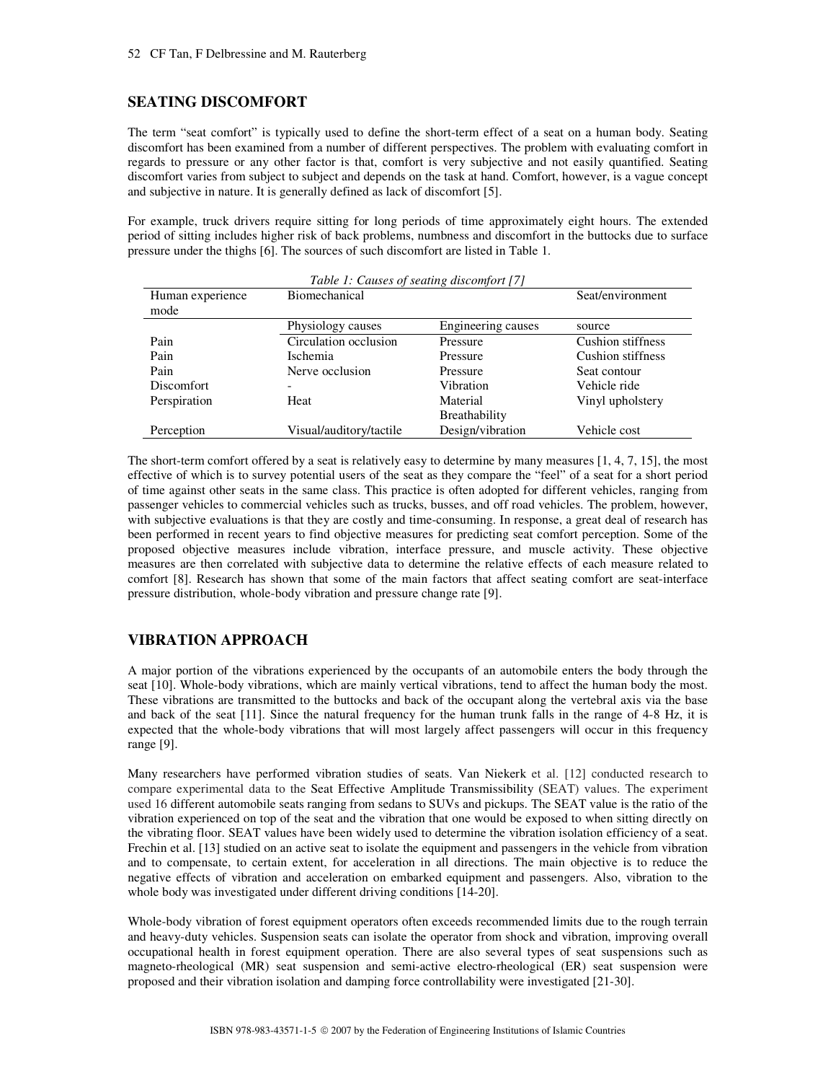# **SEATING DISCOMFORT**

The term "seat comfort" is typically used to define the short-term effect of a seat on a human body. Seating discomfort has been examined from a number of different perspectives. The problem with evaluating comfort in regards to pressure or any other factor is that, comfort is very subjective and not easily quantified. Seating discomfort varies from subject to subject and depends on the task at hand. Comfort, however, is a vague concept and subjective in nature. It is generally defined as lack of discomfort [5].

For example, truck drivers require sitting for long periods of time approximately eight hours. The extended period of sitting includes higher risk of back problems, numbness and discomfort in the buttocks due to surface pressure under the thighs [6]. The sources of such discomfort are listed in Table 1.

| Table 1: Causes of seating discomfort [7] |                         |                      |                          |
|-------------------------------------------|-------------------------|----------------------|--------------------------|
| Human experience                          | Biomechanical           |                      | Seat/environment         |
| mode                                      |                         |                      |                          |
|                                           | Physiology causes       | Engineering causes   | source                   |
| Pain                                      | Circulation occlusion   | Pressure             | <b>Cushion stiffness</b> |
| Pain                                      | <b>Ischemia</b>         | Pressure             | Cushion stiffness        |
| Pain                                      | Nerve occlusion         | Pressure             | Seat contour             |
| <b>Discomfort</b>                         |                         | Vibration            | Vehicle ride             |
| Perspiration                              | Heat                    | Material             | Vinyl upholstery         |
|                                           |                         | <b>Breathability</b> |                          |
| Perception                                | Visual/auditory/tactile | Design/vibration     | Vehicle cost             |

The short-term comfort offered by a seat is relatively easy to determine by many measures [1, 4, 7, 15], the most effective of which is to survey potential users of the seat as they compare the "feel" of a seat for a short period of time against other seats in the same class. This practice is often adopted for different vehicles, ranging from passenger vehicles to commercial vehicles such as trucks, busses, and off road vehicles. The problem, however, with subjective evaluations is that they are costly and time-consuming. In response, a great deal of research has been performed in recent years to find objective measures for predicting seat comfort perception. Some of the proposed objective measures include vibration, interface pressure, and muscle activity. These objective measures are then correlated with subjective data to determine the relative effects of each measure related to comfort [8]. Research has shown that some of the main factors that affect seating comfort are seat-interface pressure distribution, whole-body vibration and pressure change rate [9].

# **VIBRATION APPROACH**

A major portion of the vibrations experienced by the occupants of an automobile enters the body through the seat [10]. Whole-body vibrations, which are mainly vertical vibrations, tend to affect the human body the most. These vibrations are transmitted to the buttocks and back of the occupant along the vertebral axis via the base and back of the seat [11]. Since the natural frequency for the human trunk falls in the range of 4-8 Hz, it is expected that the whole-body vibrations that will most largely affect passengers will occur in this frequency range [9].

Many researchers have performed vibration studies of seats. Van Niekerk et al. [12] conducted research to compare experimental data to the Seat Effective Amplitude Transmissibility (SEAT) values. The experiment used 16 different automobile seats ranging from sedans to SUVs and pickups. The SEAT value is the ratio of the vibration experienced on top of the seat and the vibration that one would be exposed to when sitting directly on the vibrating floor. SEAT values have been widely used to determine the vibration isolation efficiency of a seat. Frechin et al. [13] studied on an active seat to isolate the equipment and passengers in the vehicle from vibration and to compensate, to certain extent, for acceleration in all directions. The main objective is to reduce the negative effects of vibration and acceleration on embarked equipment and passengers. Also, vibration to the whole body was investigated under different driving conditions [14-20].

Whole-body vibration of forest equipment operators often exceeds recommended limits due to the rough terrain and heavy-duty vehicles. Suspension seats can isolate the operator from shock and vibration, improving overall occupational health in forest equipment operation. There are also several types of seat suspensions such as magneto-rheological (MR) seat suspension and semi-active electro-rheological (ER) seat suspension were proposed and their vibration isolation and damping force controllability were investigated [21-30].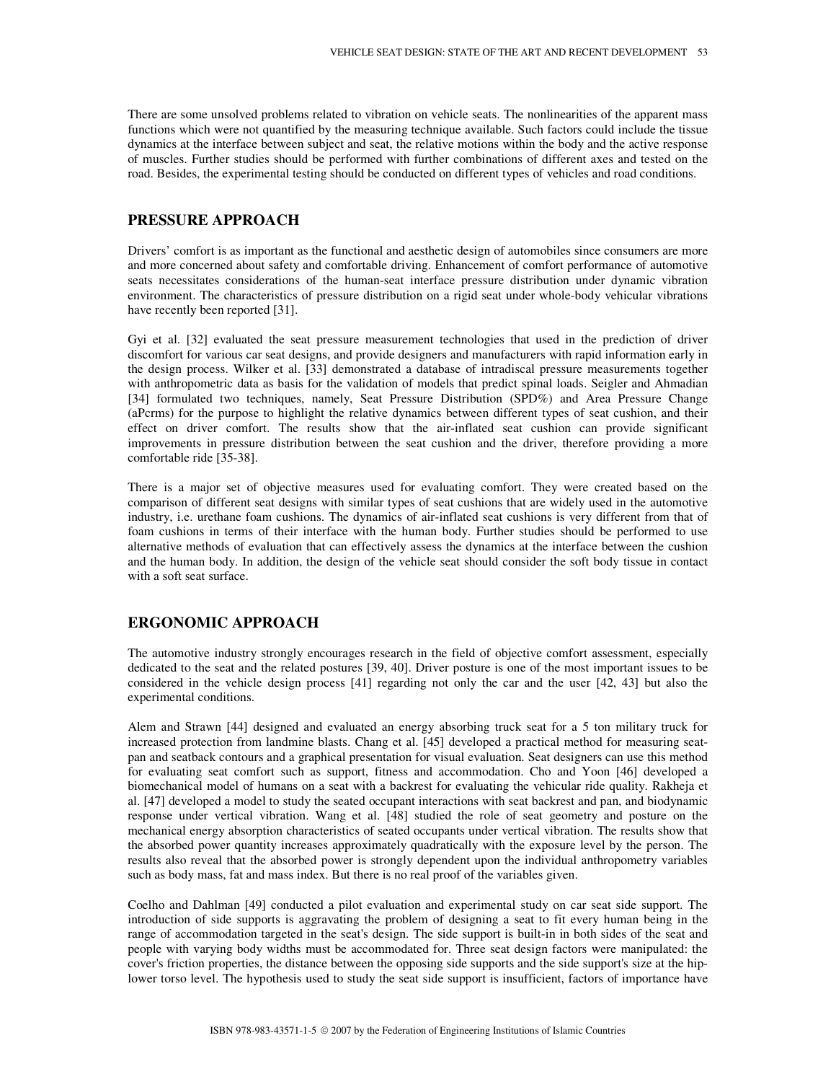There are some unsolved problems related to vibration on vehicle seats. The nonlinearities of the apparent mass functions which were not quantified by the measuring technique available. Such factors could include the tissue dynamics at the interface between subject and seat, the relative motions within the body and the active response of muscles. Further studies should be performed with further combinations of different axes and tested on the road. Besides, the experimental testing should be conducted on different types of vehicles and road conditions.

### **PRESSURE APPROACH**

Drivers' comfort is as important as the functional and aesthetic design of automobiles since consumers are more and more concerned about safety and comfortable driving. Enhancement of comfort performance of automotive seats necessitates considerations of the human-seat interface pressure distribution under dynamic vibration environment. The characteristics of pressure distribution on a rigid seat under whole-body vehicular vibrations have recently been reported [31].

Gyi et al. [32] evaluated the seat pressure measurement technologies that used in the prediction of driver discomfort for various car seat designs, and provide designers and manufacturers with rapid information early in the design process. Wilker et al. [33] demonstrated a database of intradiscal pressure measurements together with anthropometric data as basis for the validation of models that predict spinal loads. Seigler and Ahmadian [34] formulated two techniques, namely, Seat Pressure Distribution (SPD%) and Area Pressure Change (aPcrms) for the purpose to highlight the relative dynamics between different types of seat cushion, and their effect on driver comfort. The results show that the air-inflated seat cushion can provide significant improvements in pressure distribution between the seat cushion and the driver, therefore providing a more comfortable ride [35-38].

There is a major set of objective measures used for evaluating comfort. They were created based on the comparison of different seat designs with similar types of seat cushions that are widely used in the automotive industry, i.e. urethane foam cushions. The dynamics of air-inflated seat cushions is very different from that of foam cushions in terms of their interface with the human body. Further studies should be performed to use alternative methods of evaluation that can effectively assess the dynamics at the interface between the cushion and the human body. In addition, the design of the vehicle seat should consider the soft body tissue in contact with a soft seat surface.

### **ERGONOMIC APPROACH**

The automotive industry strongly encourages research in the field of objective comfort assessment, especially dedicated to the seat and the related postures [39, 40]. Driver posture is one of the most important issues to be considered in the vehicle design process [41] regarding not only the car and the user [42, 43] but also the experimental conditions.

Alem and Strawn [44] designed and evaluated an energy absorbing truck seat for a 5 ton military truck for increased protection from landmine blasts. Chang et al. [45] developed a practical method for measuring seatpan and seatback contours and a graphical presentation for visual evaluation. Seat designers can use this method for evaluating seat comfort such as support, fitness and accommodation. Cho and Yoon [46] developed a biomechanical model of humans on a seat with a backrest for evaluating the vehicular ride quality. Rakheja et al. [47] developed a model to study the seated occupant interactions with seat backrest and pan, and biodynamic response under vertical vibration. Wang et al. [48] studied the role of seat geometry and posture on the mechanical energy absorption characteristics of seated occupants under vertical vibration. The results show that the absorbed power quantity increases approximately quadratically with the exposure level by the person. The results also reveal that the absorbed power is strongly dependent upon the individual anthropometry variables such as body mass, fat and mass index. But there is no real proof of the variables given.

Coelho and Dahlman [49] conducted a pilot evaluation and experimental study on car seat side support. The introduction of side supports is aggravating the problem of designing a seat to fit every human being in the range of accommodation targeted in the seat's design. The side support is built-in in both sides of the seat and people with varying body widths must be accommodated for. Three seat design factors were manipulated: the cover's friction properties, the distance between the opposing side supports and the side support's size at the hiplower torso level. The hypothesis used to study the seat side support is insufficient, factors of importance have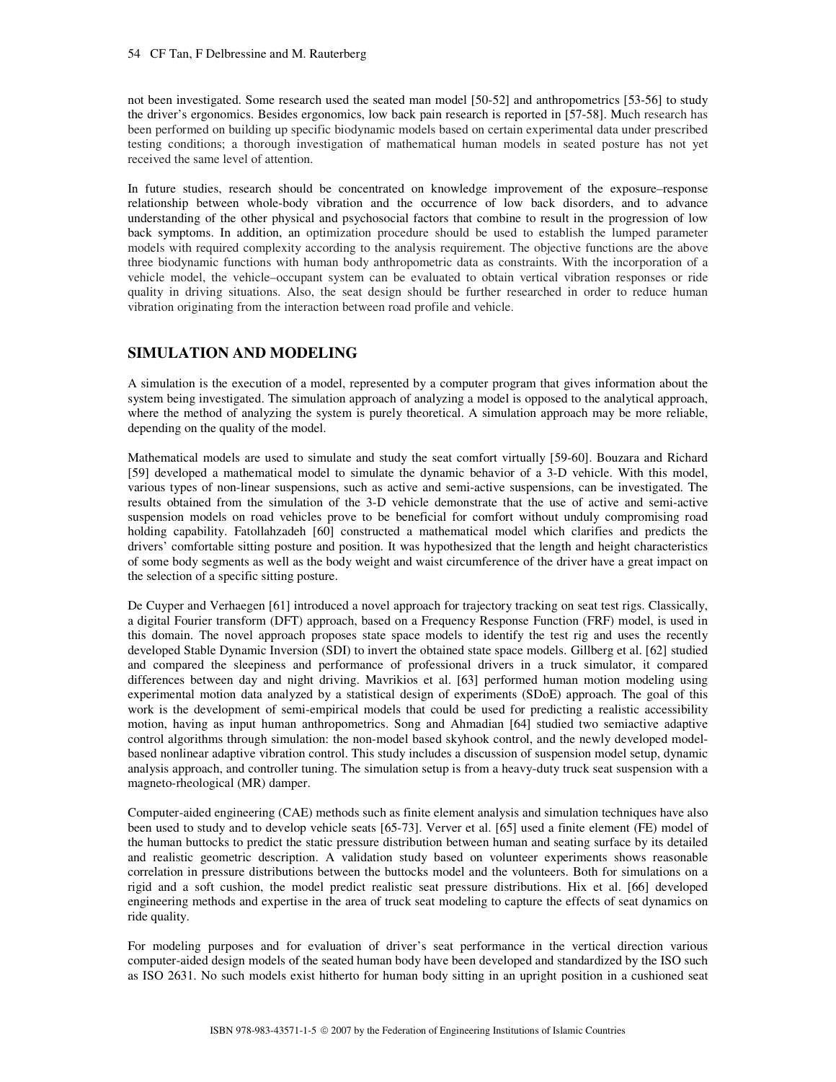not been investigated. Some research used the seated man model [50-52] and anthropometrics [53-56] to study the driver's ergonomics. Besides ergonomics, low back pain research is reported in [57-58]. Much research has been performed on building up specific biodynamic models based on certain experimental data under prescribed testing conditions; a thorough investigation of mathematical human models in seated posture has not yet received the same level of attention.

In future studies, research should be concentrated on knowledge improvement of the exposure–response relationship between whole-body vibration and the occurrence of low back disorders, and to advance understanding of the other physical and psychosocial factors that combine to result in the progression of low back symptoms. In addition, an optimization procedure should be used to establish the lumped parameter models with required complexity according to the analysis requirement. The objective functions are the above three biodynamic functions with human body anthropometric data as constraints. With the incorporation of a vehicle model, the vehicle–occupant system can be evaluated to obtain vertical vibration responses or ride quality in driving situations. Also, the seat design should be further researched in order to reduce human vibration originating from the interaction between road profile and vehicle.

# **SIMULATION AND MODELING**

A simulation is the execution of a model, represented by a computer program that gives information about the system being investigated. The simulation approach of analyzing a model is opposed to the analytical approach, where the method of analyzing the system is purely theoretical. A simulation approach may be more reliable, depending on the quality of the model.

Mathematical models are used to simulate and study the seat comfort virtually [59-60]. Bouzara and Richard [59] developed a mathematical model to simulate the dynamic behavior of a 3-D vehicle. With this model, various types of non-linear suspensions, such as active and semi-active suspensions, can be investigated. The results obtained from the simulation of the 3-D vehicle demonstrate that the use of active and semi-active suspension models on road vehicles prove to be beneficial for comfort without unduly compromising road holding capability. Fatollahzadeh [60] constructed a mathematical model which clarifies and predicts the drivers' comfortable sitting posture and position. It was hypothesized that the length and height characteristics of some body segments as well as the body weight and waist circumference of the driver have a great impact on the selection of a specific sitting posture.

De Cuyper and Verhaegen [61] introduced a novel approach for trajectory tracking on seat test rigs. Classically, a digital Fourier transform (DFT) approach, based on a Frequency Response Function (FRF) model, is used in this domain. The novel approach proposes state space models to identify the test rig and uses the recently developed Stable Dynamic Inversion (SDI) to invert the obtained state space models. Gillberg et al. [62] studied and compared the sleepiness and performance of professional drivers in a truck simulator, it compared differences between day and night driving. Mavrikios et al. [63] performed human motion modeling using experimental motion data analyzed by a statistical design of experiments (SDoE) approach. The goal of this work is the development of semi-empirical models that could be used for predicting a realistic accessibility motion, having as input human anthropometrics. Song and Ahmadian [64] studied two semiactive adaptive control algorithms through simulation: the non-model based skyhook control, and the newly developed modelbased nonlinear adaptive vibration control. This study includes a discussion of suspension model setup, dynamic analysis approach, and controller tuning. The simulation setup is from a heavy-duty truck seat suspension with a magneto-rheological (MR) damper.

Computer-aided engineering (CAE) methods such as finite element analysis and simulation techniques have also been used to study and to develop vehicle seats [65-73]. Verver et al. [65] used a finite element (FE) model of the human buttocks to predict the static pressure distribution between human and seating surface by its detailed and realistic geometric description. A validation study based on volunteer experiments shows reasonable correlation in pressure distributions between the buttocks model and the volunteers. Both for simulations on a rigid and a soft cushion, the model predict realistic seat pressure distributions. Hix et al. [66] developed engineering methods and expertise in the area of truck seat modeling to capture the effects of seat dynamics on ride quality.

For modeling purposes and for evaluation of driver's seat performance in the vertical direction various computer-aided design models of the seated human body have been developed and standardized by the ISO such as ISO 2631. No such models exist hitherto for human body sitting in an upright position in a cushioned seat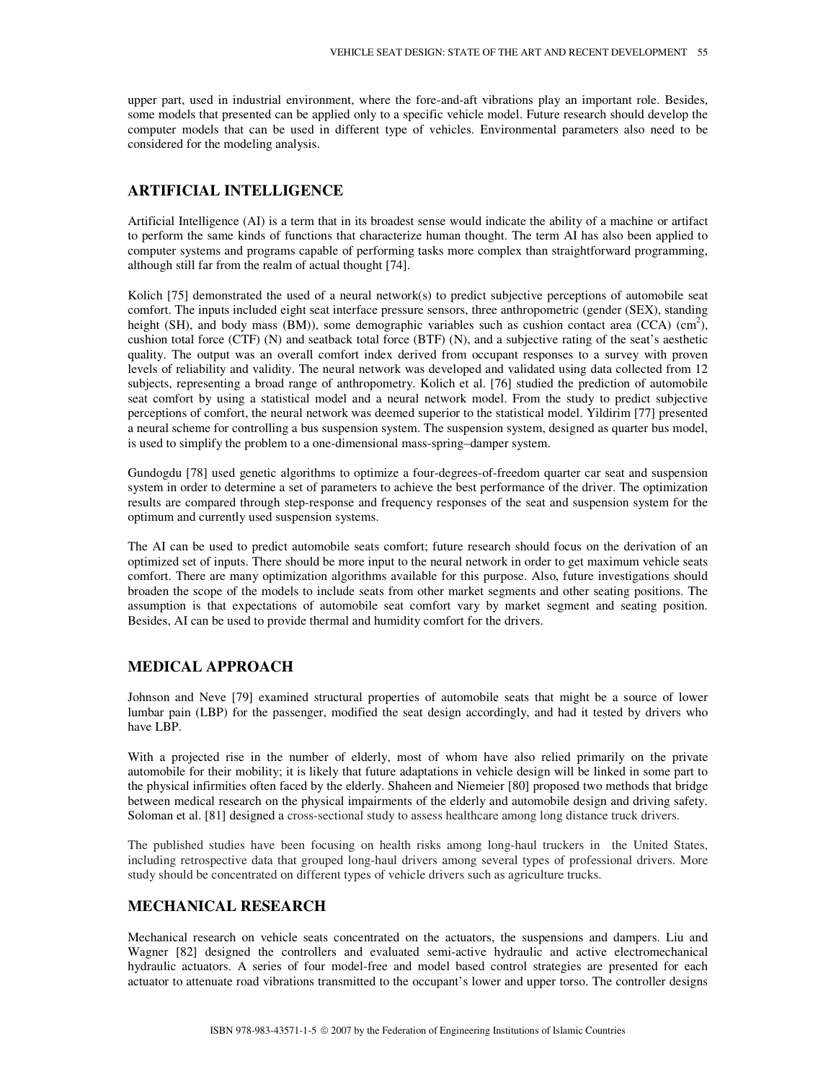upper part, used in industrial environment, where the fore-and-aft vibrations play an important role. Besides, some models that presented can be applied only to a specific vehicle model. Future research should develop the computer models that can be used in different type of vehicles. Environmental parameters also need to be considered for the modeling analysis.

# **ARTIFICIAL INTELLIGENCE**

Artificial Intelligence (AI) is a term that in its broadest sense would indicate the ability of a machine or artifact to perform the same kinds of functions that characterize human thought. The term AI has also been applied to computer systems and programs capable of performing tasks more complex than straightforward programming, although still far from the realm of actual thought [74].

Kolich [75] demonstrated the used of a neural network(s) to predict subjective perceptions of automobile seat comfort. The inputs included eight seat interface pressure sensors, three anthropometric (gender (SEX), standing height (SH), and body mass (BM)), some demographic variables such as cushion contact area (CCA) (cm<sup>2</sup>), cushion total force (CTF) (N) and seatback total force (BTF) (N), and a subjective rating of the seat's aesthetic quality. The output was an overall comfort index derived from occupant responses to a survey with proven levels of reliability and validity. The neural network was developed and validated using data collected from 12 subjects, representing a broad range of anthropometry. Kolich et al. [76] studied the prediction of automobile seat comfort by using a statistical model and a neural network model. From the study to predict subjective perceptions of comfort, the neural network was deemed superior to the statistical model. Yildirim [77] presented a neural scheme for controlling a bus suspension system. The suspension system, designed as quarter bus model, is used to simplify the problem to a one-dimensional mass-spring–damper system.

Gundogdu [78] used genetic algorithms to optimize a four-degrees-of-freedom quarter car seat and suspension system in order to determine a set of parameters to achieve the best performance of the driver. The optimization results are compared through step-response and frequency responses of the seat and suspension system for the optimum and currently used suspension systems.

The AI can be used to predict automobile seats comfort; future research should focus on the derivation of an optimized set of inputs. There should be more input to the neural network in order to get maximum vehicle seats comfort. There are many optimization algorithms available for this purpose. Also, future investigations should broaden the scope of the models to include seats from other market segments and other seating positions. The assumption is that expectations of automobile seat comfort vary by market segment and seating position. Besides, AI can be used to provide thermal and humidity comfort for the drivers.

# **MEDICAL APPROACH**

Johnson and Neve [79] examined structural properties of automobile seats that might be a source of lower lumbar pain (LBP) for the passenger, modified the seat design accordingly, and had it tested by drivers who have LBP.

With a projected rise in the number of elderly, most of whom have also relied primarily on the private automobile for their mobility; it is likely that future adaptations in vehicle design will be linked in some part to the physical infirmities often faced by the elderly. Shaheen and Niemeier [80] proposed two methods that bridge between medical research on the physical impairments of the elderly and automobile design and driving safety. Soloman et al. [81] designed a cross-sectional study to assess healthcare among long distance truck drivers.

The published studies have been focusing on health risks among long-haul truckers in the United States, including retrospective data that grouped long-haul drivers among several types of professional drivers. More study should be concentrated on different types of vehicle drivers such as agriculture trucks.

### **MECHANICAL RESEARCH**

Mechanical research on vehicle seats concentrated on the actuators, the suspensions and dampers. Liu and Wagner [82] designed the controllers and evaluated semi-active hydraulic and active electromechanical hydraulic actuators. A series of four model-free and model based control strategies are presented for each actuator to attenuate road vibrations transmitted to the occupant's lower and upper torso. The controller designs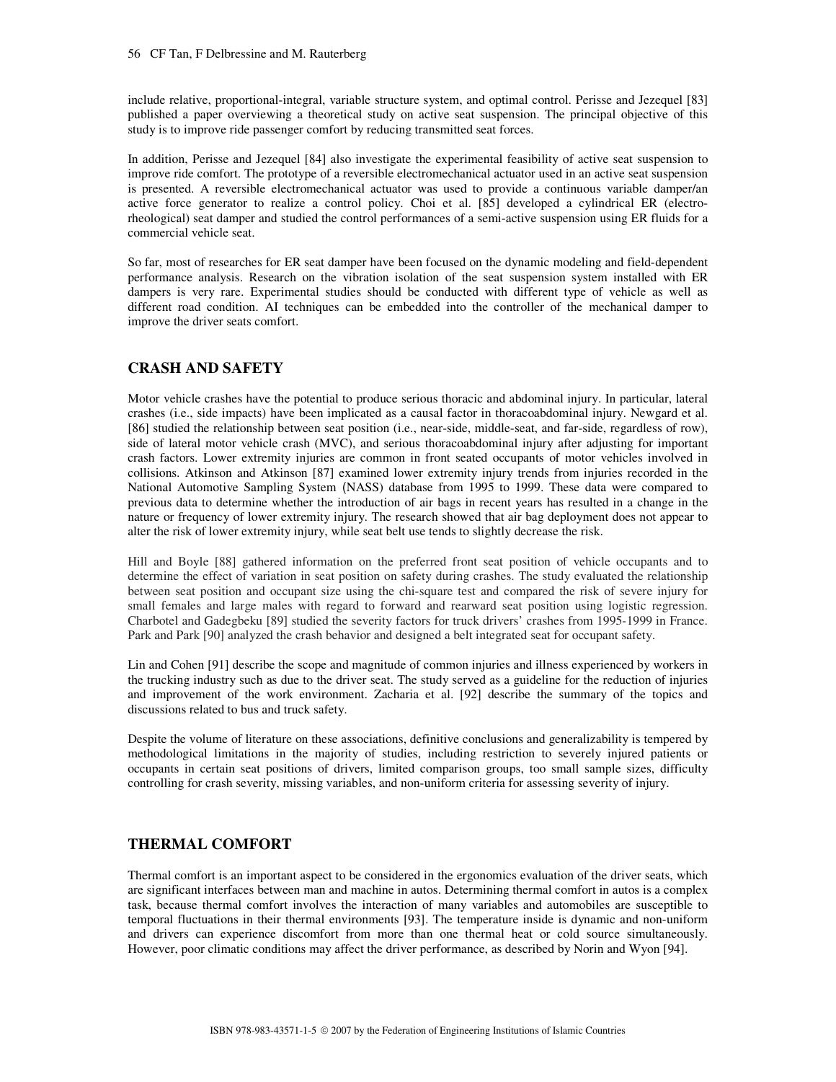include relative, proportional-integral, variable structure system, and optimal control. Perisse and Jezequel [83] published a paper overviewing a theoretical study on active seat suspension. The principal objective of this study is to improve ride passenger comfort by reducing transmitted seat forces.

In addition, Perisse and Jezequel [84] also investigate the experimental feasibility of active seat suspension to improve ride comfort. The prototype of a reversible electromechanical actuator used in an active seat suspension is presented. A reversible electromechanical actuator was used to provide a continuous variable damper/an active force generator to realize a control policy. Choi et al. [85] developed a cylindrical ER (electrorheological) seat damper and studied the control performances of a semi-active suspension using ER fluids for a commercial vehicle seat.

So far, most of researches for ER seat damper have been focused on the dynamic modeling and field-dependent performance analysis. Research on the vibration isolation of the seat suspension system installed with ER dampers is very rare. Experimental studies should be conducted with different type of vehicle as well as different road condition. AI techniques can be embedded into the controller of the mechanical damper to improve the driver seats comfort.

# **CRASH AND SAFETY**

Motor vehicle crashes have the potential to produce serious thoracic and abdominal injury. In particular, lateral crashes (i.e., side impacts) have been implicated as a causal factor in thoracoabdominal injury. Newgard et al. [86] studied the relationship between seat position (i.e., near-side, middle-seat, and far-side, regardless of row), side of lateral motor vehicle crash (MVC), and serious thoracoabdominal injury after adjusting for important crash factors. Lower extremity injuries are common in front seated occupants of motor vehicles involved in collisions. Atkinson and Atkinson [87] examined lower extremity injury trends from injuries recorded in the National Automotive Sampling System (NASS) database from 1995 to 1999. These data were compared to previous data to determine whether the introduction of air bags in recent years has resulted in a change in the nature or frequency of lower extremity injury. The research showed that air bag deployment does not appear to alter the risk of lower extremity injury, while seat belt use tends to slightly decrease the risk.

Hill and Boyle [88] gathered information on the preferred front seat position of vehicle occupants and to determine the effect of variation in seat position on safety during crashes. The study evaluated the relationship between seat position and occupant size using the chi-square test and compared the risk of severe injury for small females and large males with regard to forward and rearward seat position using logistic regression. Charbotel and Gadegbeku [89] studied the severity factors for truck drivers' crashes from 1995-1999 in France. Park and Park [90] analyzed the crash behavior and designed a belt integrated seat for occupant safety.

Lin and Cohen [91] describe the scope and magnitude of common injuries and illness experienced by workers in the trucking industry such as due to the driver seat. The study served as a guideline for the reduction of injuries and improvement of the work environment. Zacharia et al. [92] describe the summary of the topics and discussions related to bus and truck safety.

Despite the volume of literature on these associations, definitive conclusions and generalizability is tempered by methodological limitations in the majority of studies, including restriction to severely injured patients or occupants in certain seat positions of drivers, limited comparison groups, too small sample sizes, difficulty controlling for crash severity, missing variables, and non-uniform criteria for assessing severity of injury.

# **THERMAL COMFORT**

Thermal comfort is an important aspect to be considered in the ergonomics evaluation of the driver seats, which are significant interfaces between man and machine in autos. Determining thermal comfort in autos is a complex task, because thermal comfort involves the interaction of many variables and automobiles are susceptible to temporal fluctuations in their thermal environments [93]. The temperature inside is dynamic and non-uniform and drivers can experience discomfort from more than one thermal heat or cold source simultaneously. However, poor climatic conditions may affect the driver performance, as described by Norin and Wyon [94].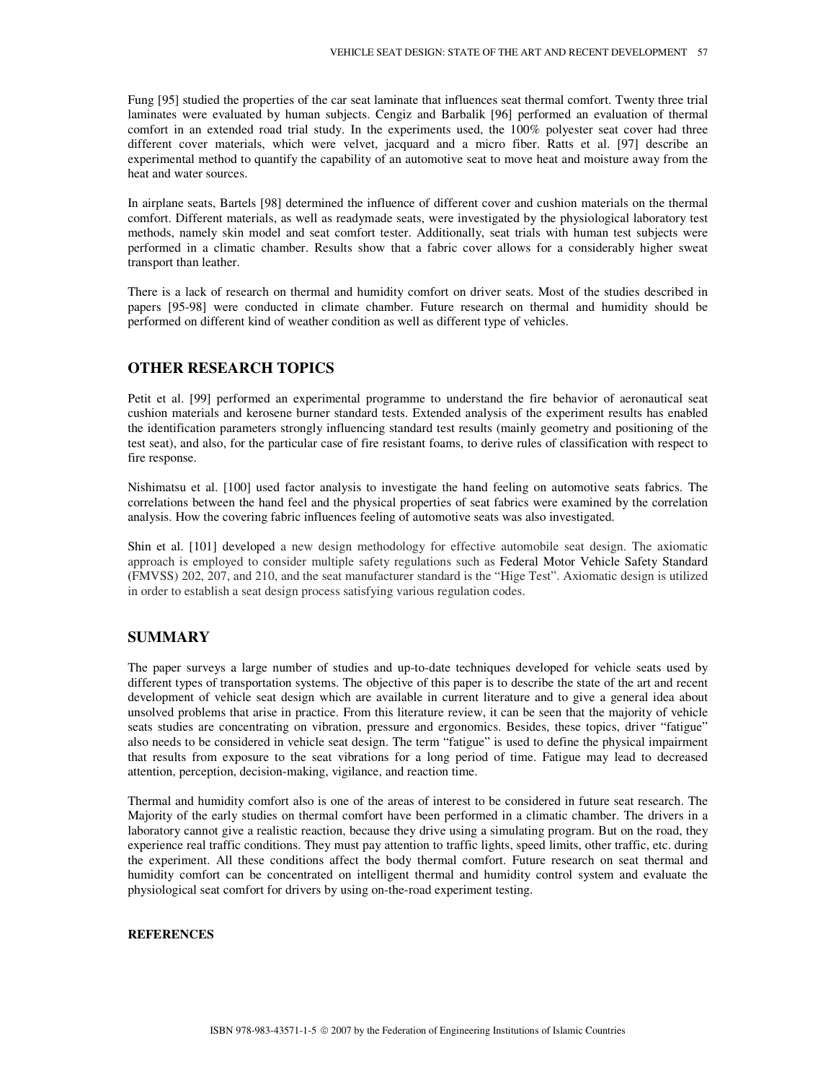Fung [95] studied the properties of the car seat laminate that influences seat thermal comfort. Twenty three trial laminates were evaluated by human subjects. Cengiz and Barbalik [96] performed an evaluation of thermal comfort in an extended road trial study. In the experiments used, the 100% polyester seat cover had three different cover materials, which were velvet, jacquard and a micro fiber. Ratts et al. [97] describe an experimental method to quantify the capability of an automotive seat to move heat and moisture away from the heat and water sources.

In airplane seats, Bartels [98] determined the influence of different cover and cushion materials on the thermal comfort. Different materials, as well as readymade seats, were investigated by the physiological laboratory test methods, namely skin model and seat comfort tester. Additionally, seat trials with human test subjects were performed in a climatic chamber. Results show that a fabric cover allows for a considerably higher sweat transport than leather.

There is a lack of research on thermal and humidity comfort on driver seats. Most of the studies described in papers [95-98] were conducted in climate chamber. Future research on thermal and humidity should be performed on different kind of weather condition as well as different type of vehicles.

### **OTHER RESEARCH TOPICS**

Petit et al. [99] performed an experimental programme to understand the fire behavior of aeronautical seat cushion materials and kerosene burner standard tests. Extended analysis of the experiment results has enabled the identification parameters strongly influencing standard test results (mainly geometry and positioning of the test seat), and also, for the particular case of fire resistant foams, to derive rules of classification with respect to fire response.

Nishimatsu et al. [100] used factor analysis to investigate the hand feeling on automotive seats fabrics. The correlations between the hand feel and the physical properties of seat fabrics were examined by the correlation analysis. How the covering fabric influences feeling of automotive seats was also investigated.

Shin et al. [101] developed a new design methodology for effective automobile seat design. The axiomatic approach is employed to consider multiple safety regulations such as Federal Motor Vehicle Safety Standard (FMVSS) 202, 207, and 210, and the seat manufacturer standard is the "Hige Test". Axiomatic design is utilized in order to establish a seat design process satisfying various regulation codes.

### **SUMMARY**

The paper surveys a large number of studies and up-to-date techniques developed for vehicle seats used by different types of transportation systems. The objective of this paper is to describe the state of the art and recent development of vehicle seat design which are available in current literature and to give a general idea about unsolved problems that arise in practice. From this literature review, it can be seen that the majority of vehicle seats studies are concentrating on vibration, pressure and ergonomics. Besides, these topics, driver "fatigue" also needs to be considered in vehicle seat design. The term "fatigue" is used to define the physical impairment that results from exposure to the seat vibrations for a long period of time. Fatigue may lead to decreased attention, perception, decision-making, vigilance, and reaction time.

Thermal and humidity comfort also is one of the areas of interest to be considered in future seat research. The Majority of the early studies on thermal comfort have been performed in a climatic chamber. The drivers in a laboratory cannot give a realistic reaction, because they drive using a simulating program. But on the road, they experience real traffic conditions. They must pay attention to traffic lights, speed limits, other traffic, etc. during the experiment. All these conditions affect the body thermal comfort. Future research on seat thermal and humidity comfort can be concentrated on intelligent thermal and humidity control system and evaluate the physiological seat comfort for drivers by using on-the-road experiment testing.

#### **REFERENCES**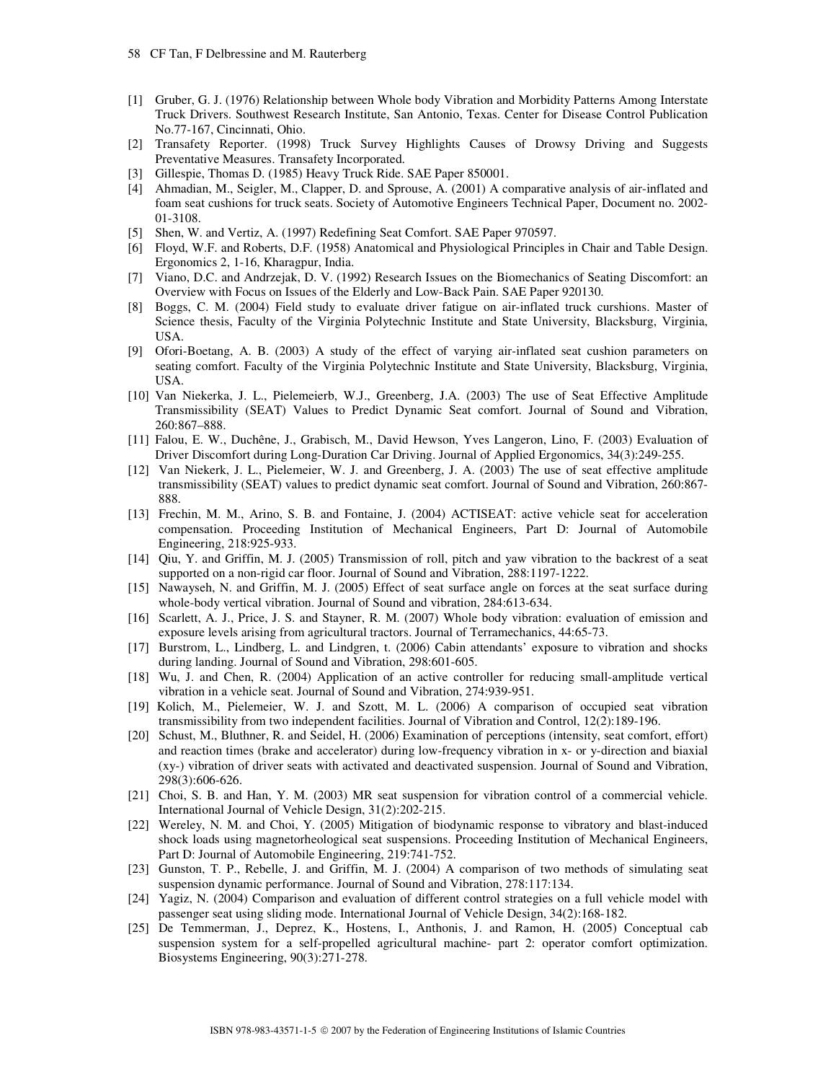- [1] Gruber, G. J. (1976) Relationship between Whole body Vibration and Morbidity Patterns Among Interstate Truck Drivers. Southwest Research Institute, San Antonio, Texas. Center for Disease Control Publication No.77-167, Cincinnati, Ohio.
- [2] Transafety Reporter. (1998) Truck Survey Highlights Causes of Drowsy Driving and Suggests Preventative Measures. Transafety Incorporated.
- [3] Gillespie, Thomas D. (1985) Heavy Truck Ride. SAE Paper 850001.
- [4] Ahmadian, M., Seigler, M., Clapper, D. and Sprouse, A. (2001) A comparative analysis of air-inflated and foam seat cushions for truck seats. Society of Automotive Engineers Technical Paper, Document no. 2002- 01-3108.
- [5] Shen, W. and Vertiz, A. (1997) Redefining Seat Comfort. SAE Paper 970597.
- [6] Floyd, W.F. and Roberts, D.F. (1958) Anatomical and Physiological Principles in Chair and Table Design. Ergonomics 2, 1-16, Kharagpur, India.
- [7] Viano, D.C. and Andrzejak, D. V. (1992) Research Issues on the Biomechanics of Seating Discomfort: an Overview with Focus on Issues of the Elderly and Low-Back Pain. SAE Paper 920130.
- [8] Boggs, C. M. (2004) Field study to evaluate driver fatigue on air-inflated truck curshions. Master of Science thesis, Faculty of the Virginia Polytechnic Institute and State University, Blacksburg, Virginia, USA.
- [9] Ofori-Boetang, A. B. (2003) A study of the effect of varying air-inflated seat cushion parameters on seating comfort. Faculty of the Virginia Polytechnic Institute and State University, Blacksburg, Virginia, USA.
- [10] Van Niekerka, J. L., Pielemeierb, W.J., Greenberg, J.A. (2003) The use of Seat Effective Amplitude Transmissibility (SEAT) Values to Predict Dynamic Seat comfort. Journal of Sound and Vibration, 260:867–888.
- [11] Falou, E. W., Duchêne, J., Grabisch, M., David Hewson, Yves Langeron, Lino, F. (2003) Evaluation of Driver Discomfort during Long-Duration Car Driving. Journal of Applied Ergonomics, 34(3):249-255.
- [12] Van Niekerk, J. L., Pielemeier, W. J. and Greenberg, J. A. (2003) The use of seat effective amplitude transmissibility (SEAT) values to predict dynamic seat comfort. Journal of Sound and Vibration, 260:867- 888.
- [13] Frechin, M. M., Arino, S. B. and Fontaine, J. (2004) ACTISEAT: active vehicle seat for acceleration compensation. Proceeding Institution of Mechanical Engineers, Part D: Journal of Automobile Engineering, 218:925-933.
- [14] Qiu, Y. and Griffin, M. J. (2005) Transmission of roll, pitch and yaw vibration to the backrest of a seat supported on a non-rigid car floor. Journal of Sound and Vibration, 288:1197-1222.
- [15] Nawayseh, N. and Griffin, M. J. (2005) Effect of seat surface angle on forces at the seat surface during whole-body vertical vibration. Journal of Sound and vibration, 284:613-634.
- [16] Scarlett, A. J., Price, J. S. and Stayner, R. M. (2007) Whole body vibration: evaluation of emission and exposure levels arising from agricultural tractors. Journal of Terramechanics, 44:65-73.
- [17] Burstrom, L., Lindberg, L. and Lindgren, t. (2006) Cabin attendants' exposure to vibration and shocks during landing. Journal of Sound and Vibration, 298:601-605.
- [18] Wu, J. and Chen, R. (2004) Application of an active controller for reducing small-amplitude vertical vibration in a vehicle seat. Journal of Sound and Vibration, 274:939-951.
- [19] Kolich, M., Pielemeier, W. J. and Szott, M. L. (2006) A comparison of occupied seat vibration transmissibility from two independent facilities. Journal of Vibration and Control, 12(2):189-196.
- [20] Schust, M., Bluthner, R. and Seidel, H. (2006) Examination of perceptions (intensity, seat comfort, effort) and reaction times (brake and accelerator) during low-frequency vibration in x- or y-direction and biaxial (xy-) vibration of driver seats with activated and deactivated suspension. Journal of Sound and Vibration, 298(3):606-626.
- [21] Choi, S. B. and Han, Y. M. (2003) MR seat suspension for vibration control of a commercial vehicle. International Journal of Vehicle Design, 31(2):202-215.
- [22] Wereley, N. M. and Choi, Y. (2005) Mitigation of biodynamic response to vibratory and blast-induced shock loads using magnetorheological seat suspensions. Proceeding Institution of Mechanical Engineers, Part D: Journal of Automobile Engineering, 219:741-752.
- [23] Gunston, T. P., Rebelle, J. and Griffin, M. J. (2004) A comparison of two methods of simulating seat suspension dynamic performance. Journal of Sound and Vibration, 278:117:134.
- [24] Yagiz, N. (2004) Comparison and evaluation of different control strategies on a full vehicle model with passenger seat using sliding mode. International Journal of Vehicle Design, 34(2):168-182.
- [25] De Temmerman, J., Deprez, K., Hostens, I., Anthonis, J. and Ramon, H. (2005) Conceptual cab suspension system for a self-propelled agricultural machine- part 2: operator comfort optimization. Biosystems Engineering, 90(3):271-278.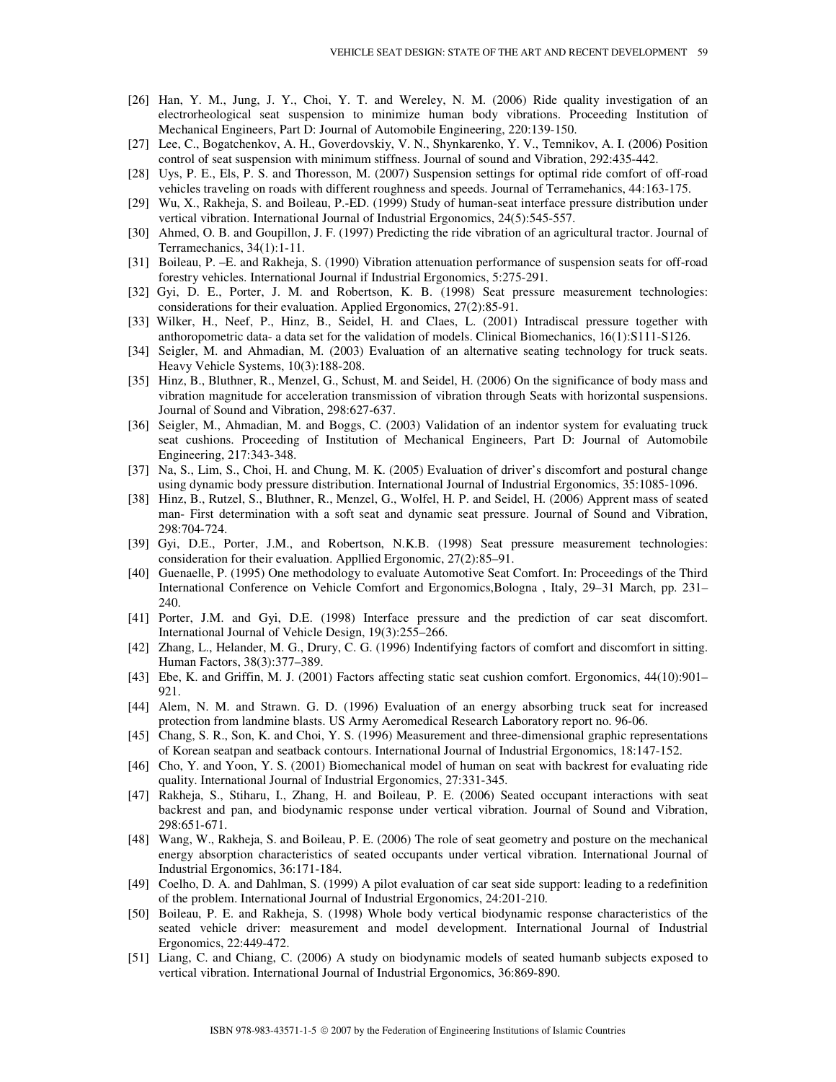- [26] Han, Y. M., Jung, J. Y., Choi, Y. T. and Wereley, N. M. (2006) Ride quality investigation of an electrorheological seat suspension to minimize human body vibrations. Proceeding Institution of Mechanical Engineers, Part D: Journal of Automobile Engineering, 220:139-150.
- [27] Lee, C., Bogatchenkov, A. H., Goverdovskiy, V. N., Shynkarenko, Y. V., Temnikov, A. I. (2006) Position control of seat suspension with minimum stiffness. Journal of sound and Vibration, 292:435-442.
- [28] Uys, P. E., Els, P. S. and Thoresson, M. (2007) Suspension settings for optimal ride comfort of off-road vehicles traveling on roads with different roughness and speeds. Journal of Terramehanics, 44:163-175.
- [29] Wu, X., Rakheja, S. and Boileau, P.-ED. (1999) Study of human-seat interface pressure distribution under vertical vibration. International Journal of Industrial Ergonomics, 24(5):545-557.
- [30] Ahmed, O. B. and Goupillon, J. F. (1997) Predicting the ride vibration of an agricultural tractor. Journal of Terramechanics, 34(1):1-11.
- [31] Boileau, P. –E. and Rakheja, S. (1990) Vibration attenuation performance of suspension seats for off-road forestry vehicles. International Journal if Industrial Ergonomics, 5:275-291.
- [32] Gyi, D. E., Porter, J. M. and Robertson, K. B. (1998) Seat pressure measurement technologies: considerations for their evaluation. Applied Ergonomics, 27(2):85-91.
- [33] Wilker, H., Neef, P., Hinz, B., Seidel, H. and Claes, L. (2001) Intradiscal pressure together with anthoropometric data- a data set for the validation of models. Clinical Biomechanics, 16(1):S111-S126.
- [34] Seigler, M. and Ahmadian, M. (2003) Evaluation of an alternative seating technology for truck seats. Heavy Vehicle Systems, 10(3):188-208.
- [35] Hinz, B., Bluthner, R., Menzel, G., Schust, M. and Seidel, H. (2006) On the significance of body mass and vibration magnitude for acceleration transmission of vibration through Seats with horizontal suspensions. Journal of Sound and Vibration, 298:627-637.
- [36] Seigler, M., Ahmadian, M. and Boggs, C. (2003) Validation of an indentor system for evaluating truck seat cushions. Proceeding of Institution of Mechanical Engineers, Part D: Journal of Automobile Engineering, 217:343-348.
- [37] Na, S., Lim, S., Choi, H. and Chung, M. K. (2005) Evaluation of driver's discomfort and postural change using dynamic body pressure distribution. International Journal of Industrial Ergonomics, 35:1085-1096.
- [38] Hinz, B., Rutzel, S., Bluthner, R., Menzel, G., Wolfel, H. P. and Seidel, H. (2006) Apprent mass of seated man- First determination with a soft seat and dynamic seat pressure. Journal of Sound and Vibration, 298:704-724.
- [39] Gyi, D.E., Porter, J.M., and Robertson, N.K.B. (1998) Seat pressure measurement technologies: consideration for their evaluation. Appllied Ergonomic, 27(2):85–91.
- [40] Guenaelle, P. (1995) One methodology to evaluate Automotive Seat Comfort. In: Proceedings of the Third International Conference on Vehicle Comfort and Ergonomics,Bologna , Italy, 29–31 March, pp. 231– 240.
- [41] Porter, J.M. and Gyi, D.E. (1998) Interface pressure and the prediction of car seat discomfort. International Journal of Vehicle Design, 19(3):255–266.
- [42] Zhang, L., Helander, M. G., Drury, C. G. (1996) Indentifying factors of comfort and discomfort in sitting. Human Factors, 38(3):377–389.
- [43] Ebe, K. and Griffin, M. J. (2001) Factors affecting static seat cushion comfort. Ergonomics, 44(10):901– 921.
- [44] Alem, N. M. and Strawn. G. D. (1996) Evaluation of an energy absorbing truck seat for increased protection from landmine blasts. US Army Aeromedical Research Laboratory report no. 96-06.
- [45] Chang, S. R., Son, K. and Choi, Y. S. (1996) Measurement and three-dimensional graphic representations of Korean seatpan and seatback contours. International Journal of Industrial Ergonomics, 18:147-152.
- [46] Cho, Y. and Yoon, Y. S. (2001) Biomechanical model of human on seat with backrest for evaluating ride quality. International Journal of Industrial Ergonomics, 27:331-345.
- [47] Rakheja, S., Stiharu, I., Zhang, H. and Boileau, P. E. (2006) Seated occupant interactions with seat backrest and pan, and biodynamic response under vertical vibration. Journal of Sound and Vibration, 298:651-671.
- [48] Wang, W., Rakheja, S. and Boileau, P. E. (2006) The role of seat geometry and posture on the mechanical energy absorption characteristics of seated occupants under vertical vibration. International Journal of Industrial Ergonomics, 36:171-184.
- [49] Coelho, D. A. and Dahlman, S. (1999) A pilot evaluation of car seat side support: leading to a redefinition of the problem. International Journal of Industrial Ergonomics, 24:201-210.
- [50] Boileau, P. E. and Rakheja, S. (1998) Whole body vertical biodynamic response characteristics of the seated vehicle driver: measurement and model development. International Journal of Industrial Ergonomics, 22:449-472.
- [51] Liang, C. and Chiang, C. (2006) A study on biodynamic models of seated humanb subjects exposed to vertical vibration. International Journal of Industrial Ergonomics, 36:869-890.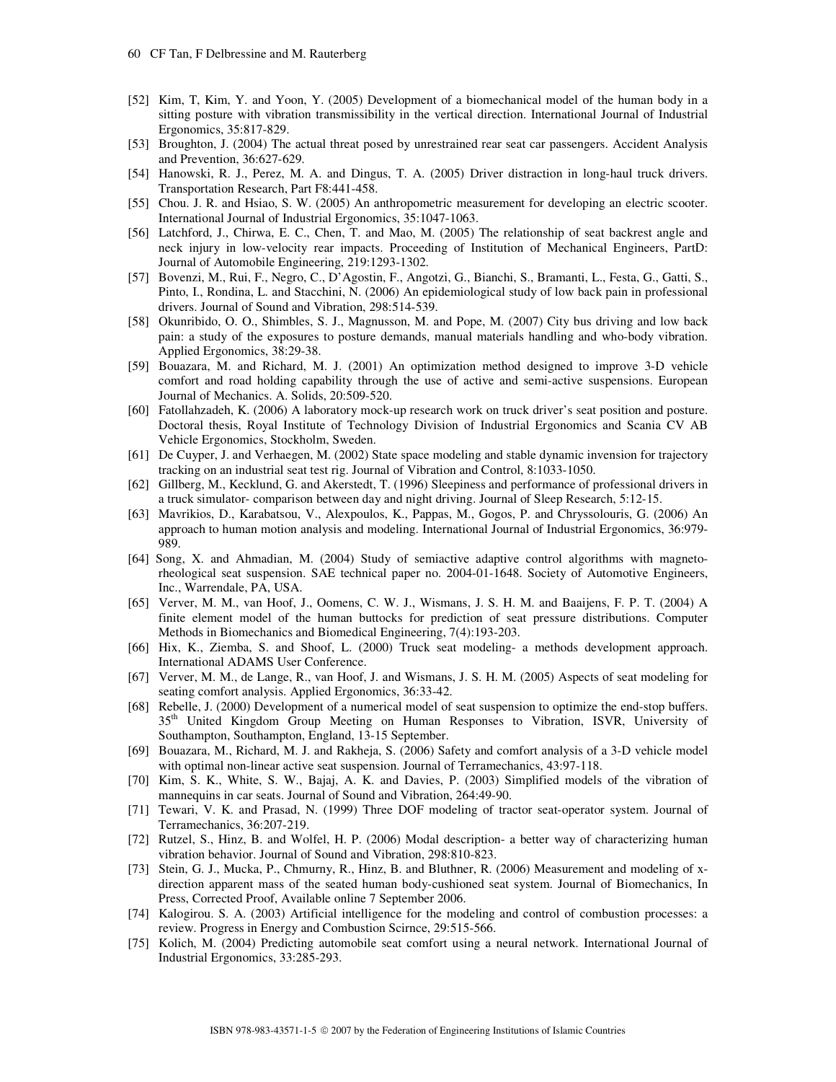- [52] Kim, T, Kim, Y. and Yoon, Y. (2005) Development of a biomechanical model of the human body in a sitting posture with vibration transmissibility in the vertical direction. International Journal of Industrial Ergonomics, 35:817-829.
- [53] Broughton, J. (2004) The actual threat posed by unrestrained rear seat car passengers. Accident Analysis and Prevention, 36:627-629.
- [54] Hanowski, R. J., Perez, M. A. and Dingus, T. A. (2005) Driver distraction in long-haul truck drivers. Transportation Research, Part F8:441-458.
- [55] Chou. J. R. and Hsiao, S. W. (2005) An anthropometric measurement for developing an electric scooter. International Journal of Industrial Ergonomics, 35:1047-1063.
- [56] Latchford, J., Chirwa, E. C., Chen, T. and Mao, M. (2005) The relationship of seat backrest angle and neck injury in low-velocity rear impacts. Proceeding of Institution of Mechanical Engineers, PartD: Journal of Automobile Engineering, 219:1293-1302.
- [57] Bovenzi, M., Rui, F., Negro, C., D'Agostin, F., Angotzi, G., Bianchi, S., Bramanti, L., Festa, G., Gatti, S., Pinto, I., Rondina, L. and Stacchini, N. (2006) An epidemiological study of low back pain in professional drivers. Journal of Sound and Vibration, 298:514-539.
- [58] Okunribido, O. O., Shimbles, S. J., Magnusson, M. and Pope, M. (2007) City bus driving and low back pain: a study of the exposures to posture demands, manual materials handling and who-body vibration. Applied Ergonomics, 38:29-38.
- [59] Bouazara, M. and Richard, M. J. (2001) An optimization method designed to improve 3-D vehicle comfort and road holding capability through the use of active and semi-active suspensions. European Journal of Mechanics. A. Solids, 20:509-520.
- [60] Fatollahzadeh, K. (2006) A laboratory mock-up research work on truck driver's seat position and posture. Doctoral thesis, Royal Institute of Technology Division of Industrial Ergonomics and Scania CV AB Vehicle Ergonomics, Stockholm, Sweden.
- [61] De Cuyper, J. and Verhaegen, M. (2002) State space modeling and stable dynamic invension for trajectory tracking on an industrial seat test rig. Journal of Vibration and Control, 8:1033-1050.
- [62] Gillberg, M., Kecklund, G. and Akerstedt, T. (1996) Sleepiness and performance of professional drivers in a truck simulator- comparison between day and night driving. Journal of Sleep Research, 5:12-15.
- [63] Mavrikios, D., Karabatsou, V., Alexpoulos, K., Pappas, M., Gogos, P. and Chryssolouris, G. (2006) An approach to human motion analysis and modeling. International Journal of Industrial Ergonomics, 36:979- 989.
- [64] Song, X. and Ahmadian, M. (2004) Study of semiactive adaptive control algorithms with magnetorheological seat suspension. SAE technical paper no. 2004-01-1648. Society of Automotive Engineers, Inc., Warrendale, PA, USA.
- [65] Verver, M. M., van Hoof, J., Oomens, C. W. J., Wismans, J. S. H. M. and Baaijens, F. P. T. (2004) A finite element model of the human buttocks for prediction of seat pressure distributions. Computer Methods in Biomechanics and Biomedical Engineering, 7(4):193-203.
- [66] Hix, K., Ziemba, S. and Shoof, L. (2000) Truck seat modeling- a methods development approach. International ADAMS User Conference.
- [67] Verver, M. M., de Lange, R., van Hoof, J. and Wismans, J. S. H. M. (2005) Aspects of seat modeling for seating comfort analysis. Applied Ergonomics, 36:33-42.
- [68] Rebelle, J. (2000) Development of a numerical model of seat suspension to optimize the end-stop buffers. 35th United Kingdom Group Meeting on Human Responses to Vibration, ISVR, University of Southampton, Southampton, England, 13-15 September.
- [69] Bouazara, M., Richard, M. J. and Rakheja, S. (2006) Safety and comfort analysis of a 3-D vehicle model with optimal non-linear active seat suspension. Journal of Terramechanics, 43:97-118.
- [70] Kim, S. K., White, S. W., Bajaj, A. K. and Davies, P. (2003) Simplified models of the vibration of mannequins in car seats. Journal of Sound and Vibration, 264:49-90.
- [71] Tewari, V. K. and Prasad, N. (1999) Three DOF modeling of tractor seat-operator system. Journal of Terramechanics, 36:207-219.
- [72] Rutzel, S., Hinz, B. and Wolfel, H. P. (2006) Modal description- a better way of characterizing human vibration behavior. Journal of Sound and Vibration, 298:810-823.
- [73] Stein, G. J., Mucka, P., Chmurny, R., Hinz, B. and Bluthner, R. (2006) Measurement and modeling of xdirection apparent mass of the seated human body-cushioned seat system. Journal of Biomechanics, In Press, Corrected Proof, Available online 7 September 2006.
- [74] Kalogirou. S. A. (2003) Artificial intelligence for the modeling and control of combustion processes: a review. Progress in Energy and Combustion Scirnce, 29:515-566.
- [75] Kolich, M. (2004) Predicting automobile seat comfort using a neural network. International Journal of Industrial Ergonomics, 33:285-293.